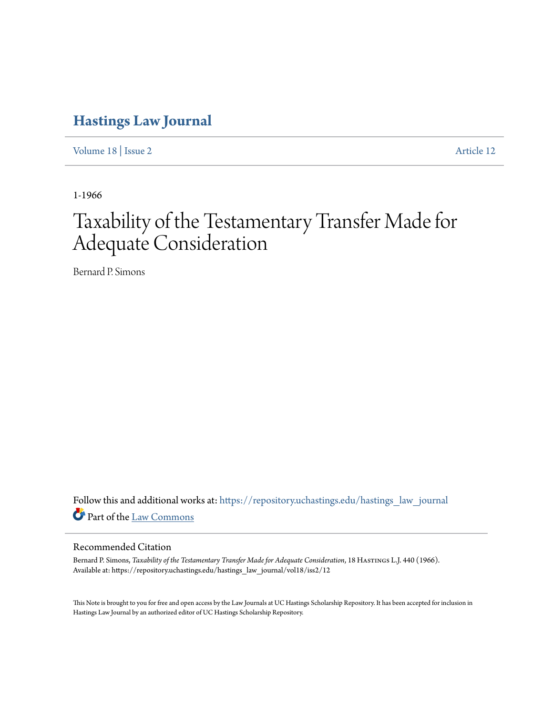# **[Hastings Law Journal](https://repository.uchastings.edu/hastings_law_journal?utm_source=repository.uchastings.edu%2Fhastings_law_journal%2Fvol18%2Fiss2%2F12&utm_medium=PDF&utm_campaign=PDFCoverPages)**

[Volume 18](https://repository.uchastings.edu/hastings_law_journal/vol18?utm_source=repository.uchastings.edu%2Fhastings_law_journal%2Fvol18%2Fiss2%2F12&utm_medium=PDF&utm_campaign=PDFCoverPages) | [Issue 2](https://repository.uchastings.edu/hastings_law_journal/vol18/iss2?utm_source=repository.uchastings.edu%2Fhastings_law_journal%2Fvol18%2Fiss2%2F12&utm_medium=PDF&utm_campaign=PDFCoverPages) [Article 12](https://repository.uchastings.edu/hastings_law_journal/vol18/iss2/12?utm_source=repository.uchastings.edu%2Fhastings_law_journal%2Fvol18%2Fiss2%2F12&utm_medium=PDF&utm_campaign=PDFCoverPages)

1-1966

# Taxability of the Testamentary Transfer Made for Adequate Consideration

Bernard P. Simons

Follow this and additional works at: [https://repository.uchastings.edu/hastings\\_law\\_journal](https://repository.uchastings.edu/hastings_law_journal?utm_source=repository.uchastings.edu%2Fhastings_law_journal%2Fvol18%2Fiss2%2F12&utm_medium=PDF&utm_campaign=PDFCoverPages) Part of the [Law Commons](http://network.bepress.com/hgg/discipline/578?utm_source=repository.uchastings.edu%2Fhastings_law_journal%2Fvol18%2Fiss2%2F12&utm_medium=PDF&utm_campaign=PDFCoverPages)

## Recommended Citation

Bernard P. Simons, *Taxability of the Testamentary Transfer Made for Adequate Consideration*, 18 Hastings L.J. 440 (1966). Available at: https://repository.uchastings.edu/hastings\_law\_journal/vol18/iss2/12

This Note is brought to you for free and open access by the Law Journals at UC Hastings Scholarship Repository. It has been accepted for inclusion in Hastings Law Journal by an authorized editor of UC Hastings Scholarship Repository.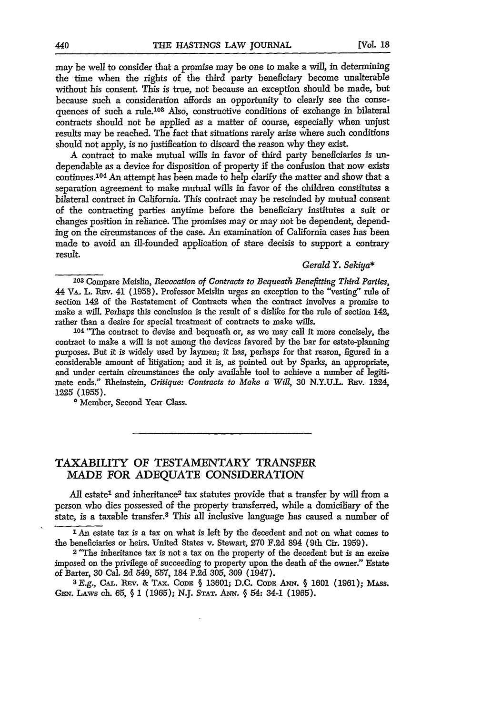may be well to consider that a promise may be one to make a will, in determining the time when the rights of the third party beneficiary become unalterable without his consent. This is true, not because an exception should be made, but because such a consideration affords an opportunity to clearly see the consequences of such a rule.<sup>103</sup> Also, constructive conditions of exchange in bilateral contracts should not be applied as a matter of course, especially when unjust results may be reached. The fact that situations rarely arise where such conditions should not apply, is no justification to discard the reason why they exist.

A contract to make mutual wills in favor of third party beneficiaries is undependable as a device for disposition of property if the confusion that now exists continues.<sup>104</sup> An attempt has been made to help clarify the matter and show that a separation agreement to make mutual wills in favor of the children constitutes a bilateral contract in California. This contract may be rescinded by mutual consent of the contracting parties anytime before the beneficiary institutes a suit or changes position in reliance. The promises may or may not be dependent, depending on the circumstances of the case. An examination of California cases has been made to avoid an ill-founded application of stare decisis to support a contrary result.

#### *Gerald Y. Sekiya\**

104 "The contract to devise and bequeath or, as we may call it more concisely, the contract to make a will is not among the devices favored by the bar for estate-planning purposes. But it is widely used by laymen; it has, perhaps for that reason, figured in a considerable amount of litigation; and it is, as pointed out by Sparks, an appropriate, and under certain circumstances the only available tool to achieve a number of legitimate ends." Eheinstein, *Critique: Contracts to Make a Will,* 30 N.Y.U.L. REv. 1224, **1225** (1955).

\* Member, Second Year Class.

### TAXABILITY OF TESTAMENTARY TRANSFER MADE FOR ADEQUATE CONSIDERATION

All estate<sup>1</sup> and inheritance<sup>2</sup> tax statutes provide that a transfer by will from a person who dies possessed of the property transferred, while a domiciliary of the state, is a taxable transfer. 8 This all inclusive language has caused a number of

' An estate tax is a tax on what is left by the decedent and not on what comes to the beneficiaries or heirs. United States v. Stewart, 270 F.2d 894 (9th Cir. 1959).

**<sup>2</sup>**"The inheritance tax is not a tax on the property of the decedent but is an excise imposed on the privilege of succeeding to property upon the death of the owner." Estate of Barter, 30 Cal. **2d** 549, 557, 184 P.2d 305, 309 (1947). *<sup>3</sup> E.g.,* **CAL. REv.** *&* **TAx. CoDE** § **13601;** D.C. **CODE ANN.** § **1601 (1961);** MAss.

**GEN.** LAws ch. 65, § 1 (1965); N.J. **STAT. ANN.** § 54: 34-1 (1965).

**<sup>103</sup>**Compare Meislin, *Revocation of Contracts to Bequeath Benefitting Third Parties,* 44 VA. L. REV. 41 (1958). Professor Meislin urges an exception to the "vesting" rule of section 142 of the Restatement of Contracts when the contract involves a promise to make a will. Perhaps this conclusion is the result of a dislike for the rule of section 142, rather than a desire for special treatment of contracts to make wills.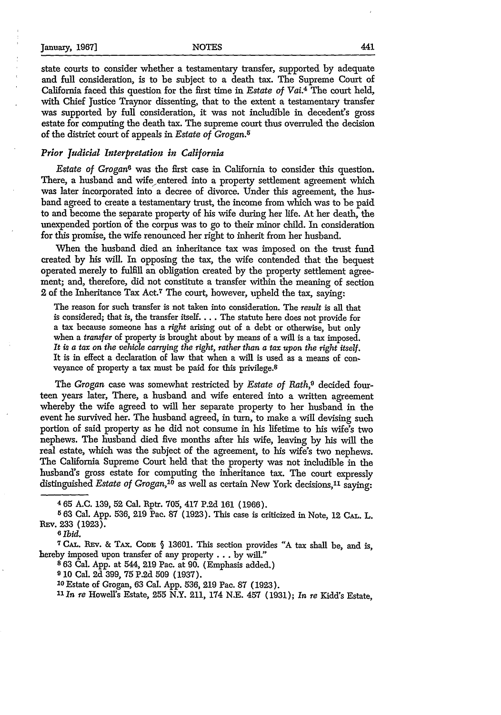state courts to consider whether a testamentary transfer, supported by adequate and full consideration, is to be subject to a death tax. The Supreme Court of California faced this question for the first time in *Estate of Vai.4* The court held, with Chief Justice Traynor dissenting, that to the extent a testamentary transfer was supported by full consideration, it was not includible in deceden's gross estate for computing the death tax. The supreme court thus overruled the decision of the district court of appeals in *Estate of Grogan.5*

#### *Prior Judicial Interpretation in California*

*Estate of Grogan6* was the first case in California to consider this question. There, a husband and wife entered into a property settlement agreement which was later incorporated into a decree of divorce. Under this agreement, the husband agreed to create a testamentary trust, the income from which was to be paid to and become the separate property of his wife during her life. At her death, the unexpended portion of the corpus was to go to their minor child. In consideration for this promise, the wife renounced her right to inherit from her husband.

When the husband died an inheritance tax was imposed on the trust fund created by his will. In opposing the tax, the wife contended that the bequest operated merely to fulfill an obligation created by the property settlement agreement; and, therefore, did not constitute a transfer within the meaning of section 2 of the Inheritance Tax Act.7 The court, however, upheld the tax, saying:

The reason for such transfer is not taken into consideration. The *result* is all that is considered; that is, the transfer itself.... The statute here does not provide for a tax because someone has a *right* arising out of a debt or otherwise, but only when a *transfer* of property is brought about by means of a will is a tax imposed. *It is a tax on the vehicle carrying the right, rather than a tax upon the right itself.* It is in effect a declaration of law that when a will is used as a means of conveyance of property a tax must be paid for this privilege.8

The *Grogan* case was somewhat restricted by *Estate of Rath,9* decided fourteen years later, There, a husband and wife entered into a written agreement whereby the wife agreed to will her separate property to her husband in the event he survived her. The husband agreed, in turn, to make a will devising such portion of said property as he did not consume in his lifetime to his wife's two nephews. The husband died five months after his wife, leaving by his will the real estate, which was the subject of the agreement, to his wife's two nephews. The California Supreme Court held that the property was not includible in the husband's gross estate for computing the inheritance tax. The court expressly distinguished *Estate of Grogan*,<sup>10</sup> as well as certain New York decisions,<sup>11</sup> saying:

**8 63** Cal. App. at 544, 219 Pac. at 90. (Emphasis added.)

**9 10** Cal. 2d 399, 75 P.2d 509 (1937).

**<sup>10</sup>**Estate of Grogan, **63** Cal. App. **536,** 219 Pac. 87 (1923).

*"I1n re* Howell's Estate, **255** N.Y. 211, 174 N.E. 457 (1931); *In re* Kidd's Estate,

**<sup>465</sup>** A.C. 139, 52 Cal. Rptr. **705, 417** P.2d 161 (1966).

**<sup>563</sup>** Cal. App. 536, 219 Pac. 87 (1923). This case is criticized in Note, 12 CAL. L. **REv.** 233 (1923).

B *Ibid.*

**<sup>7</sup> CAL. REv. &** TAx. CODE. **§** 13601. This section provides "A tax shall be, and is, hereby imposed upon transfer of any property **...** by will."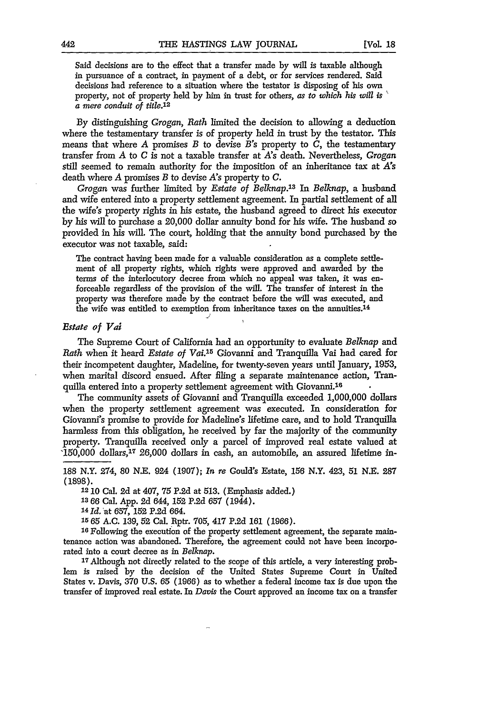Said decisions are to the effect that a transfer made **by** will is taxable although in pursuance of a contract, in payment of a debt, or for services rendered. Said decisions had reference to a situation where the testator is disposing of his own property, not of property held **by** him in trust for others, *as to which his will is a* mere conduit of title.<sup>12</sup>

**By** distinguishing *Grogan, Rath* limited the decision to allowing a deduction where the testamentary transfer is of property held in trust **by** the testator. This means that where A promises *B* to devise *B's* property to *C,* the testamentary transfer from A to *C is* not a taxable transfer at *A's* death. Nevertheless, *Grogan* still seemed to remain authority for the imposition of an inheritance tax at *A's* death where A promises *B* to devise *As* property to *C.*

*Grogan* was further limited by *Estate of Belknap.13 In Belknap,* a husband and wife entered into a property settlement agreement. In partial settlement of all the wife's property rights in his estate, the husband agreed to direct his executor by his will to purchase a 20,000 dollar annuity bond for his wife. The husband so provided in his will. The court, holding that the annuity bond purchased by the executor was not taxable, said:

The contract having been made for a valuable consideration as a complete settlement of all property rights, which rights were approved and awarded **by** the terms of the interlocutory decree from which no appeal was taken, it was enforceable regardless of the provision of the will. The transfer of interest in the property was therefore made by the contract before the will was executed, and the wife was entitled to exemption from inheritance taxes on the annuities.14

#### *Estate of Vai*

The Supreme Court of California had an opportunity to evaluate *Belknap* and *Rath* when it heard *Estate of Vai.*<sup>15</sup> Giovanni and Tranquilla Vai had cared for their incompetent daughter, Madeline, for twenty-seven years until January, **1953,** when marital discord ensued. After filing a separate maintenance action, Tranquilla entered into a property settlement agreement with Giovanni.<sup>16</sup>

The community assets of Giovanni and Tranquilla exceeded 1,000,000 dollars when the property settlement agreement was executed. In consideration for Giovanni's promise to provide for Madeline's lifetime care, and to hold Tranquilla harmless from this obligation, he received by far the majority of the community property. Tranquilla received only a parcel of improved real estate valued at '150,000 dollars,<sup>17</sup> 26,000 dollars in cash, an automobile, an assured lifetime in-

**188** N.Y. 274, **80 N.E.** 924 **(1907);** *In re* Gould's Estate, **156** N.Y. 423, **51** *N.E.* **287 (1898).**

**12 10** Cal. 2d at 407, 75 P.2d at 513. (Emphasis added.)

**13 66** Cal. App. 2d 644, **152** P.2d **657** (1944).

**<sup>14</sup>***Id.* at 657, **152 P.2d** 664.

**1565 A.C. 139,** 52 Cal. Rptr. **705,** 417 P.2d 161 (1966).

**16** Following the execution of the property settlement agreement, the separate maintenance action was abandoned. Therefore, the agreement could not have been incorporated into a court decree as in *Belknap.*

**17** Although not directly related to the scope of this article, a very interesting problem is raised **by** the decision of the United States Supreme Court in United States v. Davis, 370 U.S. *65* (1966) as to whether a federal income tax **is** due upon the transfer of improved real estate. In *Davis* the Court approved an income tax on a transfer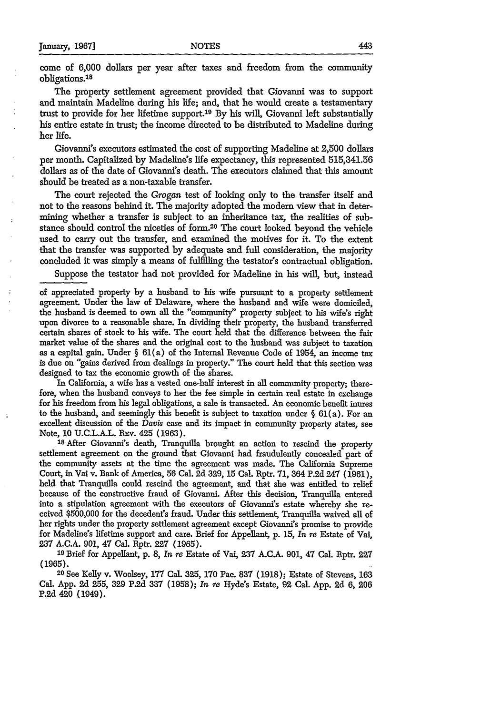come of 6,000 dollars per year after taxes and freedom from the community obligations.<sup>18</sup>

The property settlement agreement provided that Giovanni was to support and maintain Madeline during his life; and, that he would create a testamentary trust to provide for her lifetime support.<sup>19</sup> By his will, Giovanni left substantially his entire estate in trust; the income directed to be distributed to Madeline during her life.

Giovanni's executors estimated the cost of supporting Madeline at 2,500 dollars per month. Capitalized by Madeline's life expectancy, this represented 515,341.56 dollars as of the date of Giovanni's death. The executors claimed that this amount should be treated as a non-taxable transfer.

The court rejected the *Grogan* test of looking only to the transfer itself and not to the reasons behind it. The majority adopted the modem view that in determining whether a transfer is subject to an inheritance tax, the realities of substance should control the niceties of form. 20 The court looked beyond the vehicle used to carry out the transfer, and examined the motives for it. To the extent that the transfer was supported by adequate and **full** consideration, the majority concluded it was simply a means of fulfilling the testator's contractual obligation.

Suppose the testator had not provided for Madeline in his will, but, instead

of appreciated property by a husband to his wife pursuant to a property settlement agreement. Under the law of Delaware, where the husband and wife were domiciled, the husband is deemed to own all the "community" property subject to his wife's right upon divorce to a reasonable share. **In** dividing their property, the husband transferred certain shares of stock to his wife. The court held that the difference between the fair market value of the shares and the original cost to the husband was subject to taxation as a capital gain. Under  $\S$  61(a) of the Internal Revenue Code of 1954, an income tax is due on "gains derived from dealings in property." The court held that this section was designed to tax the economic growth of the shares.

In California, a wife has a vested one-half interest in all community property; therefore, when the husband conveys to her the fee simple in certain real estate in exchange for his freedom from his legal obligations, a sale is transacted. An economic benefit inures to the husband, and seemingly this benefit is subject to taxation under  $\S 61(a)$ . For an excellent discussion of the *Davis* case and its impact in community property states, see

Note, 10 U.C.L.A.L. RPv. 425 (1963). **'8** After Giovanni's death, Tranquilla brought an action to rescind the property settlement agreement on the ground that Giovanni had fraudulently concealed part of the community assets at the time the agreement was made. The California Supreme Court, in Vai v. Bank of America, 56 Cal. 2d 329, 15 Cal. Rptr. 71, 364 P.2d 247 (1961), held that Tranquilla could rescind the agreement, and that she was entitled to relief because of the constructive fraud of Giovanni. After this decision, Tranquilla entered into a stipulation agreement with the executors of Giovanni's estate whereby she received \$500,000 for the decedent's fraud. Under this settlement, Tranquilla waived all of her rights under the property settlement agreement except Giovanni's promise to provide for Madeline's lifetime support and care. Brief for Appellant, p. 15, *In re* Estate of Vai, **237** A.C.A. 901, 47 Cal. Rptr. 227 (1965).

**'9** Brief for Appellant, p. 8, *In re* Estate of Va, **237** A.C.A. 901, 47 Cal. Rptr. 227 **(1965).** <sup>2</sup>

0 See Kelly v. Woolsey, **177** Cal. 325, **170** Pac. **837** (1918); Estate of Stevens, **163** Cal. App. **2d** 255, 329 **P.2d** 337 (1958); *In re* Hyde's Estate, **92** Cal. App. 2d 6, 206 P.2d 420 (1949).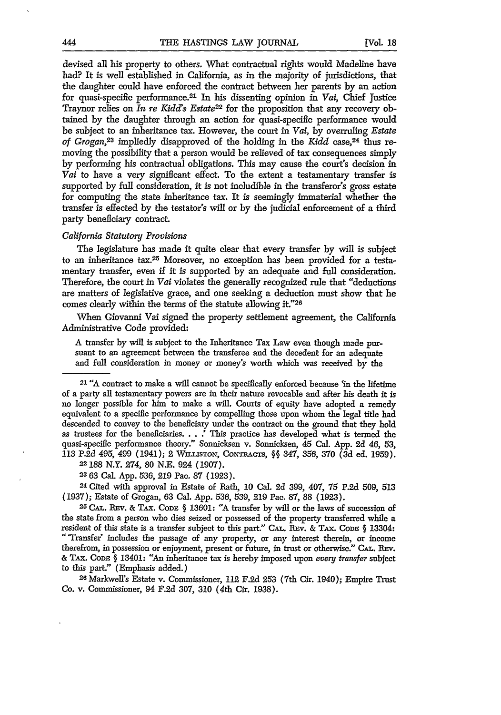devised all his property to others. What contractual rights would Madeline have had? It is well established in California, as in the majority of jurisdictions, that the daughter could have enforced the contract between her parents by an action for quasi-specifie performance. 21 In his dissenting opinion in *Vai,* Chief Justice Traynor relies on *In re Kidds Estate22* for the proposition that any recovery obtained by the daughter through an action for quasi-specific performance would be subject to an inheritance tax. However, the court in *Vai,* by overruling *Estate of Grogan,23* impliedly disapproved of the holding in the *Kidd* case,24 thus removing the possibility that a person would be relieved of tax consequences simply by performing his contractual obligations. This may cause the court's decision in *Vai* to have a very significant effect. To the extent a testamentary transfer is supported by full consideration, it is not includible in the transferor's gross estate for computing the state inheritance tax. It is seemingly immaterial whether the transfer is effected by the testator's will or by the judicial enforcement of a third party beneficiary contract.

#### *California Statutory Provisions*

The legislature has made it quite clear that every transfer by will is subject to an inheritance tax.<sup>25</sup> Moreover, no exception has been provided for a testamentary transfer, even if it is supported by an adequate and full consideration. Therefore, the court in *Vai* violates the generally recognized rule that "deductions are matters of legislative grace, and one seeking a deduction must show that he comes clearly within the terms of the statute allowing it."26

When Giovanni Vai signed the property settlement agreement, the California Administrative Code provided:

A transfer by will is subject to the Inheritance Tax Law even though made pursuant to an agreement between the transferee and the decedent for an adequate and full consideration in money or money's worth which was received by the

21 "A contract to make a will cannot be specifically enforced because **'in** the lifetime of a party all testamentary powers are in their nature revocable and after his death it is no longer possible for him to make a will. Courts of equity have adopted a remedy equivalent to a specific performance by compelling those upon whom the legal title had descended to convey to the beneficiary under the contract on the ground that they hold as trustees for the beneficiaries. **. . .'** This practice has developed what is termed the quasi-specific performance theory." Sonnicksen v. Sonnicksen, 45 Cal. App. 2d 46, 53, 113 P.2d 495, 499 (1941); 2 **WILMsMTON, CoNRACrs, §§** 347, 356, 370 (3d ed. 1959).

**22188** N.Y. 274, 80 N.E. 924 (1907).

**23 63** Cal. App. 536, 219 Pac. 87 (1923).

**24** Cited with approval in Estate of Rath, 10 Cal. 2d 399, 407, 75 P.2d 509, 513 (1937); Estate of Grogan, 63 Cal. App. 536, 539, 219 Pac. 87, 88 (1923).

<sup>2</sup> <sup>5</sup>**CA.. REv. &** TAx. **CODE §** 13601: **"A** transfer by will or the laws of succession of the state from a person who dies seized or possessed of the property transferred while a resident of this state is a transfer subject to this part." CAL. REV. & TAX. CODE § 13304: "'Transfer' includes the passage of any property, or any interest therein, or income therefrom, in possession or enjoyment, present or future, in trust or otherwise." CAL. REV. **&** TAx. CODE **§** 13401: "An inheritance tax is hereby imposed upon *every transfer* subject to this part." (Emphasis added.) **<sup>2</sup> <sup>6</sup>**Markwell's Estate v. Commissioner, 112 F.2d **253** (7th Cir. 1940); Empire Trust

Co. v. Commissioner, 94 F.2d 307, 310 (4th Cir. 1938).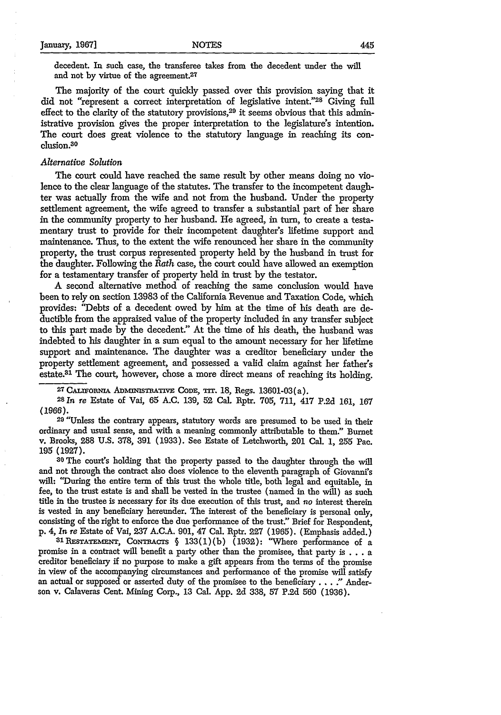decedent. In such case, the transferee takes from the decedent under the will and not **by** virtue of the agreement.27

The majority of the court quickly passed over this provision saying that it did not "represent a correct interpretation of legislative intent."28 Giving full effect to the clarity of the statutory provisions,<sup>29</sup> it seems obvious that this administrative provision gives the proper interpretation to the legislature's intention. The court does great violence to the statutory language in reaching its conclusion.30

#### *Alternative Solution*

The court could have reached the same result by other means doing no violence to the clear language of the statutes. The transfer to the incompetent daughter was actually from the wife and not from the husband. Under the property settlement agreement, the wife agreed to transfer a substantial part of her share in the community property to her husband. He agreed, in turn, to create a testamentary trust to provide for their incompetent daughter's lifetime support and maintenance. Thus, to the extent the wife renounced her share in the community property, the trust corpus represented property held by the husband in trust for the daughter. Following the *Rath* case, the court could have allowed an exemption for a testamentary transfer of property held in trust by the testator.

A second alternative method of reaching the same conclusion would have been to rely on section 13983 of the California Revenue and Taxation Code, which provides: "Debts of a decedent owed by him at the time of his death are deductible from the appraised value of the property included in any transfer subject to this part made by the decedent." At the time of his death, the husband was indebted to his daughter in a sum equal to the amount necessary for her lifetime support and maintenance. The daughter was a creditor beneficiary under the property settlement agreement, and possessed a valid claim against her father's estate.<sup>31</sup> The court, however, chose a more direct means of reaching its holding.

27 CALIFORNIA ADMINISTRATIVE CODE, TIT. 18, Regs. 13601-03(a). <sup>28</sup>In *re* Estate of Vai, 65 A.C. 139, 52 Cal. Rptr. 705, 711, 417 P.2d 161, 167 (1966). 29 "Unless the contrary appears, statutory words are presumed to be used in their

ordinary and usual sense, and with a meaning commonly attributable to them." Burnet v. Brooks, 288 U.S. 378, 391 (1933). See Estate of Letchworth, 201 Cal. 1, **255** Pac. **195 (1927).**

**<sup>30</sup>**The court's holding that the property passed to the daughter through the will and not through the contract also does violence to the eleventh paragraph of Giovanni's will: 'During the entire term of this trust the whole title, both legal and equitable, in fee, to the trust estate is and shall be vested in the trustee (named in the will) as such title in the trustee is necessary for its due execution of this trust, and no interest therein is vested in any beneficiary hereunder. The interest of the beneficiary is personal only, consisting of the right to enforce the due performance of the trust." Brief for Respondent, p. 4, *In re* Estate of Vai, **237** A.C.A. 901, 47 Cal. Rptr. **227** (1965). (Emphasis added.)

31 RESTATEMENT, CONTRACTS § 133(1)(b) (1932): "Where performance of a promise in a contract will benefit a party other than the promisee, that party is .**.**.a creditor beneficiary if no purpose to make a gift appears from the terms of the promise in view of the accompanying circumstances and performance of the promise will satisfy an actual or supposed or asserted duty of the promisee to the beneficiary. **. . "** Anderson v. Calaveras Cent. Mining Corp., **13** Cal. App. 2d 338, **57** P.2d 560 (1936).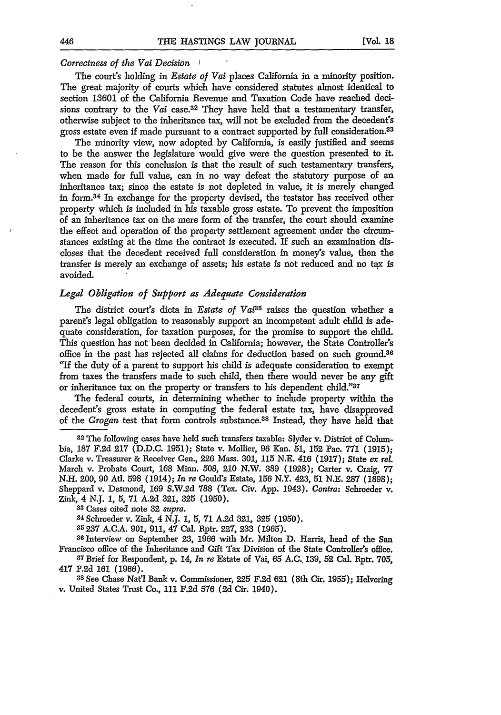#### *Correctness of the Vai Decision )*

The court's holding in *Estate of Vai* places California in a minority position. The great majority of courts which have considered statutes almost identical to section 13601 of the California Revenue and Taxation Code have reached decisions contrary to the *Vai* case.32 They have held that a testamentary transfer, otherwise subject to the inheritance tax, will not be excluded from the decedent's gross estate even if made pursuant to a contract supported **by** full consideration.<sup>33</sup>

The minority view, now adopted **by** California, is easily justified and seems to be the answer the legislature would give were the question presented to it. The reason for this conclusion is that the result of such testamentary transfers, when made for full value, can in no way defeat the statutory purpose of an inheritance tax; since the estate is not depleted in value, it is merely changed in form.34 In exchange for the property devised, the testator has received other property which is included in his taxable gross estate. To prevent the imposition of an inheritance tax on the mere form of the transfer, the court should examine the effect and operation of the property settlement agreement under the circumstances existing at the time the contract is executed. If such an examination discloses that the decedent received full consideration in money's value, then the transfer is merely an exchange of assets; his estate is not reduced and no tax is avoided.

#### *Legal Obligation of Support as Adequate Consideration*

The district court's dicta in *Estate of Vai*<sup>35</sup> raises the question whether a parent's legal obligation to reasonably support an incompetent adult child is adequate consideration, for taxation purposes, for the promise to support the child. This question has not been decided in California; however, the State Controller's office in the past has rejected all claims for deduction based on such ground.<sup>36</sup> "If the duty of a parent to support his child is adequate consideration to exempt from taxes the transfers made to such child, then there would never be any gift or inheritance tax on the property or transfers to his dependent child."37

The federal courts, in determining whether to include property within the decedent's gross estate in computing the federal estate tax, have disapproved of the *Grogan* test that form controls substance.38 Instead, they have held that

82 The following cases have held such transfers taxable: Slyder v. District of Columbia, 187 F.2d **217** (D.D.C. 1951); State v. Mollier, 96 Kan. 51, 152 Pac. 771 (1915); Clarke v. Treasurer & Receiver Gen., **226** Mass. 301, **115 N.E.** 416 **(1917);** State *ex rel.* March v. Probate Court, 168 Minn. 508, 210 N.W. 389 (1928); Carter v. Craig, 77 N.H. 200, 90 At. 598 (1914); *In re* Gould's Estate, **156** N.Y. 423, **51** N.E. **287** (1898); Sheppard v. Desmond, **169** S.W.2d 788 (Tex. Civ. App. 1943). *Contra:* Schroeder v. Zink, 4 N.J. *1,* 5, 71 A.2d 321, 325 (1950).

**<sup>33</sup>**Cases cited note 32 *supra.* **<sup>84</sup>**Schroeder v. Zink, 4 N.J. *1,* 5, 71 A.2d **321,** 325 (1950).

85237 A.C.A. 901, 911, 47 Cal. Rptr. 227, 233 (1965). **<sup>36</sup>**Interview on September 23, 1966 with Mr. Milton D. Harris, head of the San Francisco office of the Inheritance and Gift Tax Division of the State Controller's office. **<sup>7</sup>**Brief for Respondent, **p.** 14, *In re* Estate of Vai, **65 A.C, 139,** 52 Cal. Rptr. 705,

417 **P.2d 161** (1966).

**<sup>38</sup>**See Chase Nat'l Bank v. Commissioner, 225 **F.2d 621** (8th Cir. **1955);** Helvering v. United States Trust Co., 111 **F.2d** 576 **(2d** Cir. 1940).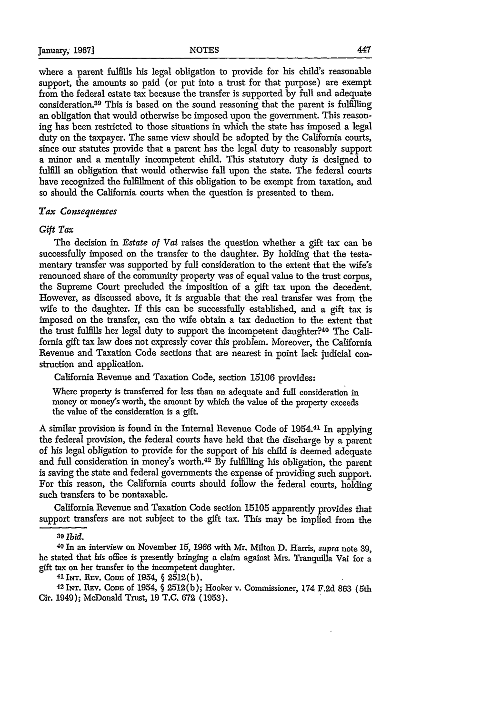where a parent fulfills his legal obligation to provide for his child's reasonable support, the amounts so paid (or put into a trust for that purpose) are exempt from the federal estate tax because the transfer is supported by full and adequate consideration. 39 This is based on the sound reasoning that the parent is fulfilling an obligation that would otherwise be imposed upon the government. This reasoning has been restricted to those situations in which the state has imposed a legal duty on the taxpayer. The same view should be adopted by the California courts, since our statutes provide that a parent has the legal duty to reasonably support a minor and a mentally incompetent child. This statutory duty is designed to fulfill an obligation that would otherwise fall upon the state. The federal courts have recognized the fulfillment of this obligation to be exempt from taxation, and so should the California courts when the question is presented to them.

#### *Tax Consequences*

#### *Gift Tax*

The decision in *Estate of Vai* raises the question whether a gift tax can be successfully imposed on the transfer to the daughter. By holding that the testamentary transfer was supported by full consideration to the extent that the wife's renounced share of the community property was of equal value to the trust corpus, the Supreme Court precluded the imposition of a gift tax upon the decedent. However, as discussed above, it is arguable that the real transfer was from the wife to the daughter. If this can be successfully established, and a gift tax is imposed on the transfer, can the wife obtain a tax deduction to the extent that the trust fulfills her legal duty to support the incompetent daughter?40 The California gift tax law does not expressly cover this problem. Moreover, the California Revenue and Taxation Code sections that are nearest in point lack judicial construction and application.

California Revenue and Taxation Code, section 15106 provides:

Where property is transferred for less than an adequate and full consideration in money or money's worth, the amount by which the value of the property exceeds the value of the consideration is a gift.

A similar provision is found in the Internal Revenue Code of 1954. 43 In applying the federal provision, the federal courts have held that the discharge by a parent of his legal obligation to provide for the support of his child is deemed adequate and full consideration in money's worth.42 By fulfilling his obligation, the parent is saving the state and federal governments the expense of providing such support. For this reason, the California courts should follow the federal courts, holding such transfers to be nontaxable.

California Revenue and Taxation Code section 15105 apparently provides that support transfers are not subject to the gift tax. This may be implied from the

**<sup>39</sup>***ibid.* 40 In an interview on November 15, 1966 with Mr. Milton D. Harris, *supra* note 39, he stated that his office is presently bringing a claim against Mrs. Tranquilla Vai for a gift tax on her transfer to the incompetent daughter.<br>
<sup>41</sup>LNT. Rev. CoDE of 1954, § 2512(b); Hooker v. Commissioner, 174 F.2d 863 (5th<br>
<sup>42</sup>LNT. Rev. CoDE of 1954, § 2512(b); Hooker v. Commissioner, 174 F.2d 863 (5th

Cir. 1949); McDonald Trust, 19 T.C. **672** (1953).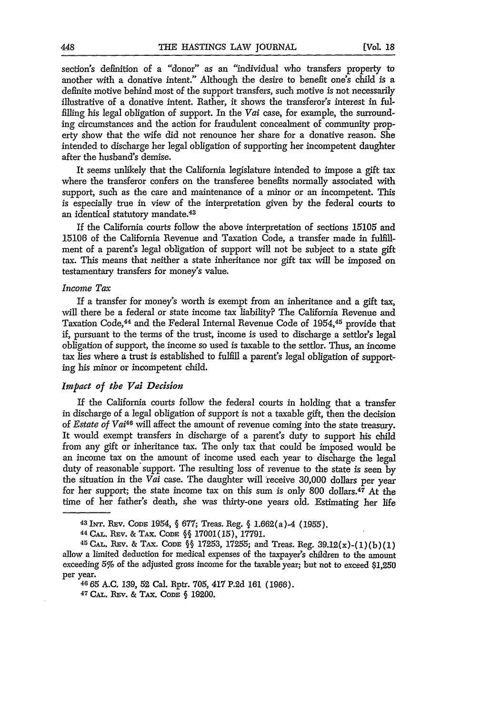section's definition of a "donor" as an "individual who transfers property to another with a donative intent." Although the desire to benefit one's child is a definite motive behind most of the support transfers, such motive is not necessarily illustrative of a donative intent. Rather, it shows the transferor's interest in fulfilling his legal obligation of support. In the *Vai* case, for example, the surrounding circumstances and the action for fraudulent concealment of community property show that the wife did not renounce her share for a donative reason. She intended to discharge her legal obligation of supporting her incompetent daughter after the husband's demise.

It seems unlikely that the California legislature intended to impose a gift tax where the transferor confers on the transferee benefits normally associated with support, such as the care and maintenance of a minor or an incompetent. This is especially true in view of the interpretation given by the federal courts to an identical statutory mandate.<sup>43</sup>

If the California courts follow the above interpretation of sections 15105 and 15106 of the California Revenue and Taxation Code, a transfer made in fulfillment of a parent's legal obligation of support will not be subject to a state gift tax. This means that neither a state inheritance nor gift tax will be imposed on testamentary transfers for money's value.

#### *Income Tax*

If a transfer for money's worth is exempt from an inheritance and a gift tax, will there be a federal or state income tax liability? The California Revenue and Taxation Code, 44 and the Federal Internal Revenue Code of 1954,45 provide that if, pursuant to the terms of the trust, income is used to discharge a settlor's legal obligation of support, the income so used is taxable to the settlor. Thus, an income tax lies where a trust is established to fulfill a parent's legal obligation of supporting his minor or incompetent child.

#### *Impact of the Vai Decision*

If the California courts follow the federal courts in holding that a transfer in discharge of a legal obligation of support is not a taxable gift, then the decision of *Estate of Vai4 <sup>6</sup>*will affect the amount of revenue coming into the state treasury. It would exempt transfers in discharge of a parent's duty to support his child from any gift or inheritance tax. The only tax that could be imposed would be an income tax on the amount of income used each year to discharge the legal duty of reasonable support. The resulting loss of revenue to the state is seen by the situation in the *Vai* case. The daughter will receive 30,000 dollars per year for her support; the state income tax on this sum is only 800 dollars.<sup>47</sup> At the time of her father's death, she was thirty-one years old. Estimating her life

<sup>43</sup>**INT. REv.** CODE 1954, *§* 677; Treas. Reg. *§* 1.662(a)-4 (1955). <sup>44</sup>**CAL.** Prav. & TAx. CODE *§§* 17001(15), 17791.

**<sup>45</sup> CAL.** REv. & TAx. CODE §§ 17253, 17255; and Treas. Reg. 39.12(x)-(1)(b)(1) allow a limited deduction for medical expenses of the taxpayer's children to the amount exceeding 5% of the adjusted gross income for the taxable year; but not to exceed \$1,250 per year.

<sup>4665</sup> A.C. **139, 52** Cal. Rptr. 705, 417 **P.2d 161** (1966).

**<sup>47</sup> CAL.** REv. **&** TAx. **CoDE §** 19200.